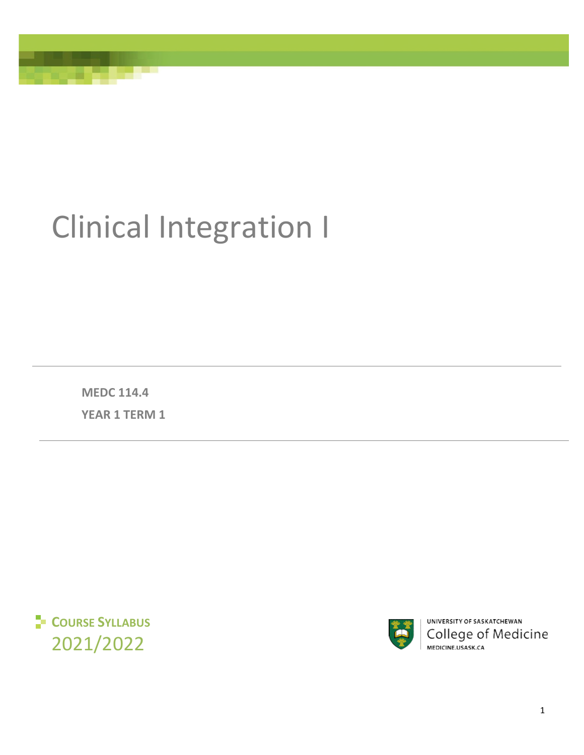# Clinical Integration I

**MEDC 114.4 YEAR 1 TERM 1**





UNIVERSITY OF SASKATCHEWAN College of Medicine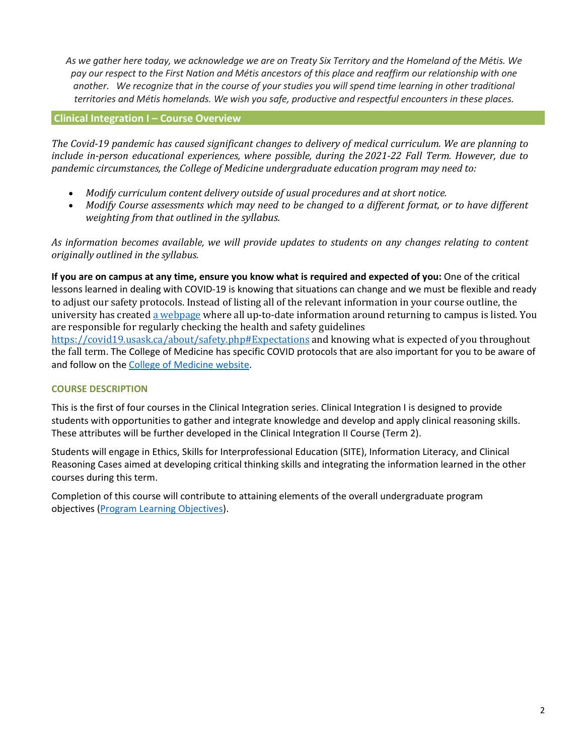*As we gather here today, we acknowledge we are on Treaty Six Territory and the Homeland of the Métis. We pay our respect to the First Nation and Métis ancestors of this place and reaffirm our relationship with one another. We recognize that in the course of your studies you will spend time learning in other traditional territories and Métis homelands. We wish you safe, productive and respectful encounters in these places.*

# **Clinical Integration I – Course Overview**

*The Covid-19 pandemic has caused significant changes to delivery of medical curriculum. We are planning to include in-person educational experiences, where possible, during the 2021-22 Fall Term. However, due to pandemic circumstances, the College of Medicine undergraduate education program may need to:* 

- *Modify curriculum content delivery outside of usual procedures and at short notice.*
- *Modify Course assessments which may need to be changed to a different format, or to have different weighting from that outlined in the syllabus.*

*As information becomes available, we will provide updates to students on any changes relating to content originally outlined in the syllabus.* 

**If you are on campus at any time, ensure you know what is required and expected of you:** One of the critical lessons learned in dealing with COVID-19 is knowing that situations can change and we must be flexible and ready to adjust our safety protocols. Instead of listing all of the relevant information in your course outline, the university has create[d a webpage w](https://covid19.usask.ca/students.php#Oncampusessentials)here all up-to-date information around returning to campus is listed. You are responsible for regularly checking the health and safety guidelines

<https://covid19.usask.ca/about/safety.php#Expectations>and knowing what is expected of you throughout the fall term. The College of Medicine has specific COVID protocols that are also important for you to be aware of and follow on the [College of Medicine website.](https://medicine.usask.ca/students/covid19.php)

# **COURSE DESCRIPTION**

This is the first of four courses in the Clinical Integration series. Clinical Integration I is designed to provide students with opportunities to gather and integrate knowledge and develop and apply clinical reasoning skills. These attributes will be further developed in the Clinical Integration II Course (Term 2).

Students will engage in Ethics, Skills for Interprofessional Education (SITE), Information Literacy, and Clinical Reasoning Cases aimed at developing critical thinking skills and integrating the information learned in the other courses during this term.

Completion of this course will contribute to attaining elements of the overall undergraduate program objectives [\(Program Learning Objectives\)](https://medicine.usask.ca/documents/ugme/PLOdoc.pdf).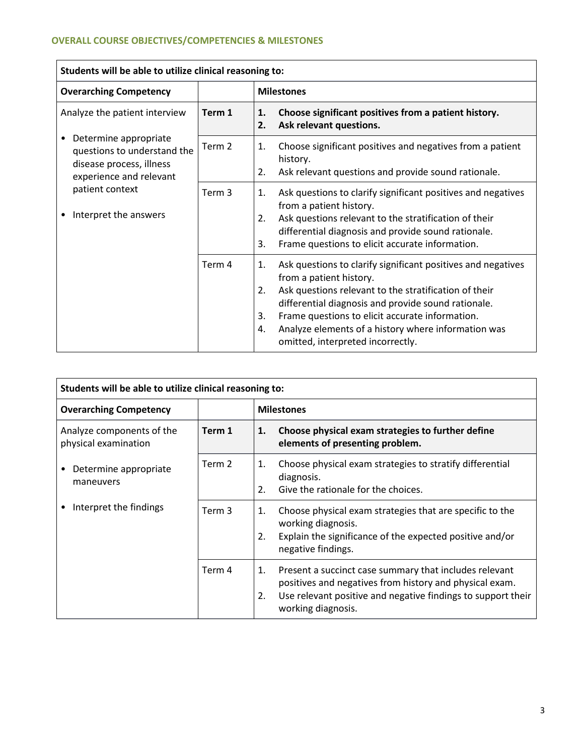$\overline{a}$ 

| Students will be able to utilize clinical reasoning to:                                                          |        |                                                                                                                                                                                                                                                                                                                                                                                |  |  |  |
|------------------------------------------------------------------------------------------------------------------|--------|--------------------------------------------------------------------------------------------------------------------------------------------------------------------------------------------------------------------------------------------------------------------------------------------------------------------------------------------------------------------------------|--|--|--|
| <b>Overarching Competency</b>                                                                                    |        | <b>Milestones</b>                                                                                                                                                                                                                                                                                                                                                              |  |  |  |
| Analyze the patient interview                                                                                    | Term 1 | Choose significant positives from a patient history.<br>1.<br>Ask relevant questions.<br>2.                                                                                                                                                                                                                                                                                    |  |  |  |
| Determine appropriate<br>٠<br>questions to understand the<br>disease process, illness<br>experience and relevant | Term 2 | Choose significant positives and negatives from a patient<br>1.<br>history.<br>Ask relevant questions and provide sound rationale.<br>2.                                                                                                                                                                                                                                       |  |  |  |
| patient context<br>Interpret the answers                                                                         | Term 3 | Ask questions to clarify significant positives and negatives<br>1.<br>from a patient history.<br>Ask questions relevant to the stratification of their<br>2.<br>differential diagnosis and provide sound rationale.<br>Frame questions to elicit accurate information.<br>3.                                                                                                   |  |  |  |
|                                                                                                                  | Term 4 | Ask questions to clarify significant positives and negatives<br>1.<br>from a patient history.<br>Ask questions relevant to the stratification of their<br>2.<br>differential diagnosis and provide sound rationale.<br>Frame questions to elicit accurate information.<br>3.<br>Analyze elements of a history where information was<br>4.<br>omitted, interpreted incorrectly. |  |  |  |

| Students will be able to utilize clinical reasoning to: |        |                   |                                                                                                                                                                                                         |  |
|---------------------------------------------------------|--------|-------------------|---------------------------------------------------------------------------------------------------------------------------------------------------------------------------------------------------------|--|
| <b>Overarching Competency</b>                           |        | <b>Milestones</b> |                                                                                                                                                                                                         |  |
| Analyze components of the<br>physical examination       | Term 1 | 1.                | Choose physical exam strategies to further define<br>elements of presenting problem.                                                                                                                    |  |
| Determine appropriate<br>maneuvers                      | Term 2 | 1.<br>2.          | Choose physical exam strategies to stratify differential<br>diagnosis.<br>Give the rationale for the choices.                                                                                           |  |
| Interpret the findings                                  | Term 3 | 1.<br>2.          | Choose physical exam strategies that are specific to the<br>working diagnosis.<br>Explain the significance of the expected positive and/or<br>negative findings.                                        |  |
|                                                         | Term 4 | 1.<br>2.          | Present a succinct case summary that includes relevant<br>positives and negatives from history and physical exam.<br>Use relevant positive and negative findings to support their<br>working diagnosis. |  |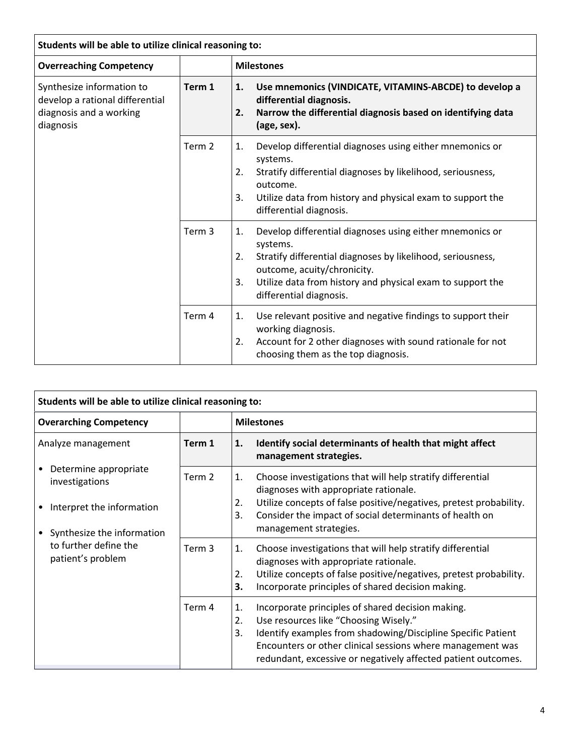| Students will be able to utilize clinical reasoning to:                                              |                   |                                                                                                                                                                                                                                                                               |  |  |  |
|------------------------------------------------------------------------------------------------------|-------------------|-------------------------------------------------------------------------------------------------------------------------------------------------------------------------------------------------------------------------------------------------------------------------------|--|--|--|
| <b>Overreaching Competency</b>                                                                       |                   | <b>Milestones</b>                                                                                                                                                                                                                                                             |  |  |  |
| Synthesize information to<br>develop a rational differential<br>diagnosis and a working<br>diagnosis | Term 1            | Use mnemonics (VINDICATE, VITAMINS-ABCDE) to develop a<br>1.<br>differential diagnosis.<br>Narrow the differential diagnosis based on identifying data<br>2.<br>(age, sex).                                                                                                   |  |  |  |
|                                                                                                      | Term 2            | Develop differential diagnoses using either mnemonics or<br>1.<br>systems.<br>2.<br>Stratify differential diagnoses by likelihood, seriousness,<br>outcome.<br>3.<br>Utilize data from history and physical exam to support the<br>differential diagnosis.                    |  |  |  |
|                                                                                                      | Term <sub>3</sub> | Develop differential diagnoses using either mnemonics or<br>1.<br>systems.<br>2.<br>Stratify differential diagnoses by likelihood, seriousness,<br>outcome, acuity/chronicity.<br>Utilize data from history and physical exam to support the<br>3.<br>differential diagnosis. |  |  |  |
|                                                                                                      | Term 4            | Use relevant positive and negative findings to support their<br>1.<br>working diagnosis.<br>Account for 2 other diagnoses with sound rationale for not<br>$\overline{2}$ .<br>choosing them as the top diagnosis.                                                             |  |  |  |

| Students will be able to utilize clinical reasoning to:                                            |                   |                                                                                                                                                                                                                                                                                                             |  |  |  |
|----------------------------------------------------------------------------------------------------|-------------------|-------------------------------------------------------------------------------------------------------------------------------------------------------------------------------------------------------------------------------------------------------------------------------------------------------------|--|--|--|
| <b>Overarching Competency</b>                                                                      |                   | <b>Milestones</b>                                                                                                                                                                                                                                                                                           |  |  |  |
| Analyze management                                                                                 | Term 1            | Identify social determinants of health that might affect<br>1.<br>management strategies.                                                                                                                                                                                                                    |  |  |  |
| Determine appropriate<br>investigations<br>Interpret the information<br>Synthesize the information | Term 2            | Choose investigations that will help stratify differential<br>1.<br>diagnoses with appropriate rationale.<br>Utilize concepts of false positive/negatives, pretest probability.<br>2.<br>3.<br>Consider the impact of social determinants of health on<br>management strategies.                            |  |  |  |
| to further define the<br>patient's problem                                                         | Term <sub>3</sub> | Choose investigations that will help stratify differential<br>1.<br>diagnoses with appropriate rationale.<br>Utilize concepts of false positive/negatives, pretest probability.<br>2.<br>3.<br>Incorporate principles of shared decision making.                                                            |  |  |  |
|                                                                                                    | Term 4            | Incorporate principles of shared decision making.<br>1.<br>Use resources like "Choosing Wisely."<br>2.<br>3.<br>Identify examples from shadowing/Discipline Specific Patient<br>Encounters or other clinical sessions where management was<br>redundant, excessive or negatively affected patient outcomes. |  |  |  |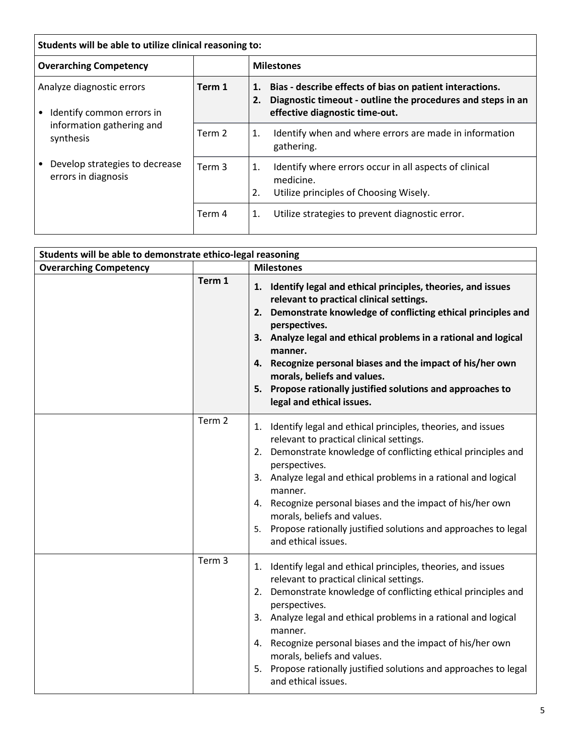| Students will be able to utilize clinical reasoning to: |        |                                                                                                                                                                       |  |  |
|---------------------------------------------------------|--------|-----------------------------------------------------------------------------------------------------------------------------------------------------------------------|--|--|
| <b>Overarching Competency</b>                           |        | <b>Milestones</b>                                                                                                                                                     |  |  |
| Analyze diagnostic errors<br>Identify common errors in  | Term 1 | Bias - describe effects of bias on patient interactions.<br>1.<br>Diagnostic timeout - outline the procedures and steps in an<br>2.<br>effective diagnostic time-out. |  |  |
| information gathering and<br>synthesis                  | Term 2 | Identify when and where errors are made in information<br>1.<br>gathering.                                                                                            |  |  |
| Develop strategies to decrease<br>errors in diagnosis   | Term 3 | Identify where errors occur in all aspects of clinical<br>1.<br>medicine.<br>2.<br>Utilize principles of Choosing Wisely.                                             |  |  |
|                                                         | Term 4 | Utilize strategies to prevent diagnostic error.<br>1.                                                                                                                 |  |  |

| Students will be able to demonstrate ethico-legal reasoning |                   |                                                                                                                                                                                                                                                                                                                                                                                                                                                                      |  |  |  |
|-------------------------------------------------------------|-------------------|----------------------------------------------------------------------------------------------------------------------------------------------------------------------------------------------------------------------------------------------------------------------------------------------------------------------------------------------------------------------------------------------------------------------------------------------------------------------|--|--|--|
| <b>Overarching Competency</b>                               |                   | <b>Milestones</b>                                                                                                                                                                                                                                                                                                                                                                                                                                                    |  |  |  |
|                                                             | Term 1            | 1. Identify legal and ethical principles, theories, and issues<br>relevant to practical clinical settings.<br>2. Demonstrate knowledge of conflicting ethical principles and<br>perspectives.<br>3. Analyze legal and ethical problems in a rational and logical<br>manner.<br>4. Recognize personal biases and the impact of his/her own<br>morals, beliefs and values.<br>5. Propose rationally justified solutions and approaches to<br>legal and ethical issues. |  |  |  |
|                                                             | Term 2            | 1. Identify legal and ethical principles, theories, and issues<br>relevant to practical clinical settings.<br>2. Demonstrate knowledge of conflicting ethical principles and<br>perspectives.<br>3. Analyze legal and ethical problems in a rational and logical<br>manner.<br>4. Recognize personal biases and the impact of his/her own<br>morals, beliefs and values.<br>5. Propose rationally justified solutions and approaches to legal<br>and ethical issues. |  |  |  |
|                                                             | Term <sub>3</sub> | 1. Identify legal and ethical principles, theories, and issues<br>relevant to practical clinical settings.<br>2. Demonstrate knowledge of conflicting ethical principles and<br>perspectives.<br>3. Analyze legal and ethical problems in a rational and logical<br>manner.<br>4. Recognize personal biases and the impact of his/her own<br>morals, beliefs and values.<br>5. Propose rationally justified solutions and approaches to legal<br>and ethical issues. |  |  |  |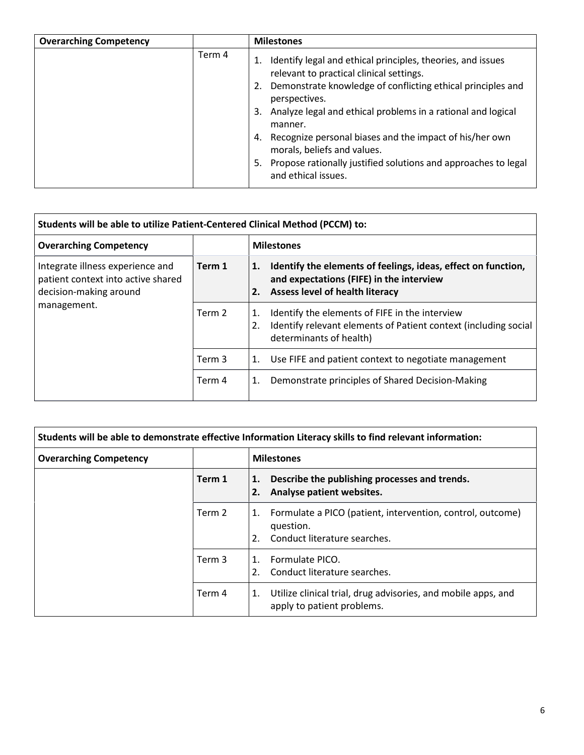| <b>Overarching Competency</b> |        | <b>Milestones</b>                                                                                                                                                                                                                                                                                                                         |
|-------------------------------|--------|-------------------------------------------------------------------------------------------------------------------------------------------------------------------------------------------------------------------------------------------------------------------------------------------------------------------------------------------|
|                               | Term 4 | 1. Identify legal and ethical principles, theories, and issues<br>relevant to practical clinical settings.<br>2. Demonstrate knowledge of conflicting ethical principles and<br>perspectives.<br>3. Analyze legal and ethical problems in a rational and logical<br>manner.<br>4. Recognize personal biases and the impact of his/her own |
|                               |        | morals, beliefs and values.                                                                                                                                                                                                                                                                                                               |
|                               |        | Propose rationally justified solutions and approaches to legal<br>5.<br>and ethical issues.                                                                                                                                                                                                                                               |

| Students will be able to utilize Patient-Centered Clinical Method (PCCM) to:                     |        |                                                                                                                                                          |  |  |
|--------------------------------------------------------------------------------------------------|--------|----------------------------------------------------------------------------------------------------------------------------------------------------------|--|--|
| <b>Overarching Competency</b>                                                                    |        | <b>Milestones</b>                                                                                                                                        |  |  |
| Integrate illness experience and<br>patient context into active shared<br>decision-making around | Term 1 | Identify the elements of feelings, ideas, effect on function,<br>1.<br>and expectations (FIFE) in the interview<br>Assess level of health literacy<br>2. |  |  |
| management.                                                                                      | Term 2 | Identify the elements of FIFE in the interview<br>1.<br>Identify relevant elements of Patient context (including social<br>2.<br>determinants of health) |  |  |
|                                                                                                  | Term 3 | Use FIFE and patient context to negotiate management<br>1.                                                                                               |  |  |
|                                                                                                  | Term 4 | Demonstrate principles of Shared Decision-Making<br>1.                                                                                                   |  |  |

| Students will be able to demonstrate effective Information Literacy skills to find relevant information: |        |                                                                                                                     |  |  |
|----------------------------------------------------------------------------------------------------------|--------|---------------------------------------------------------------------------------------------------------------------|--|--|
| <b>Overarching Competency</b>                                                                            |        | <b>Milestones</b>                                                                                                   |  |  |
|                                                                                                          | Term 1 | Describe the publishing processes and trends.<br>1.<br>Analyse patient websites.                                    |  |  |
|                                                                                                          | Term 2 | Formulate a PICO (patient, intervention, control, outcome)<br>1.<br>question.<br>Conduct literature searches.<br>2. |  |  |
|                                                                                                          | Term 3 | Formulate PICO.<br>$\mathbf{1}$ .<br>Conduct literature searches.<br>2.                                             |  |  |
|                                                                                                          | Term 4 | Utilize clinical trial, drug advisories, and mobile apps, and<br>1.<br>apply to patient problems.                   |  |  |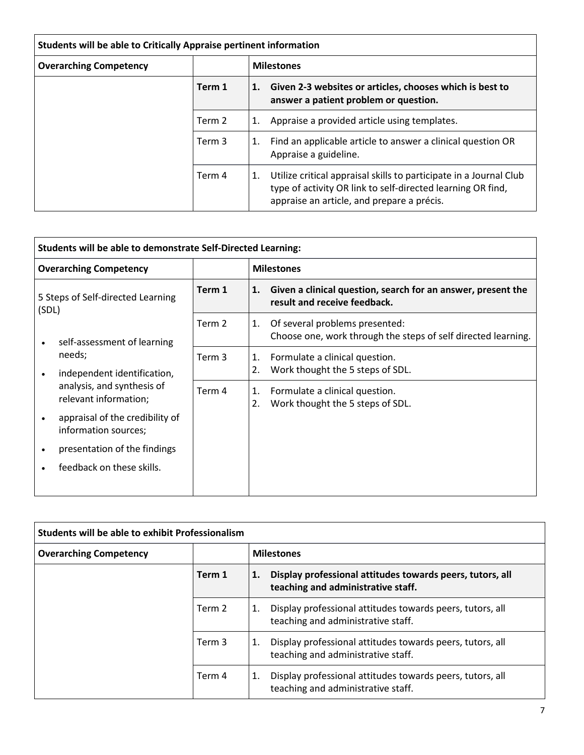| Students will be able to Critically Appraise pertinent information |        |    |                                                                                                                                                                                 |  |
|--------------------------------------------------------------------|--------|----|---------------------------------------------------------------------------------------------------------------------------------------------------------------------------------|--|
| <b>Overarching Competency</b>                                      |        |    | <b>Milestones</b>                                                                                                                                                               |  |
|                                                                    | Term 1 | 1. | Given 2-3 websites or articles, chooses which is best to<br>answer a patient problem or question.                                                                               |  |
|                                                                    | Term 2 | 1. | Appraise a provided article using templates.                                                                                                                                    |  |
|                                                                    | Term 3 | 1. | Find an applicable article to answer a clinical question OR<br>Appraise a guideline.                                                                                            |  |
|                                                                    | Term 4 | 1. | Utilize critical appraisal skills to participate in a Journal Club<br>type of activity OR link to self-directed learning OR find,<br>appraise an article, and prepare a précis. |  |

| Students will be able to demonstrate Self-Directed Learning: |                                                                                              |        |          |                                                                                                 |  |
|--------------------------------------------------------------|----------------------------------------------------------------------------------------------|--------|----------|-------------------------------------------------------------------------------------------------|--|
|                                                              | <b>Overarching Competency</b>                                                                |        |          | <b>Milestones</b>                                                                               |  |
| 5 Steps of Self-directed Learning<br>(SDL)                   |                                                                                              | Term 1 | 1.       | Given a clinical question, search for an answer, present the<br>result and receive feedback.    |  |
| ٠                                                            | self-assessment of learning                                                                  | Term 2 | 1.       | Of several problems presented:<br>Choose one, work through the steps of self directed learning. |  |
| $\bullet$                                                    | needs;<br>independent identification,<br>analysis, and synthesis of<br>relevant information; | Term 3 | 1.<br>2. | Formulate a clinical question.<br>Work thought the 5 steps of SDL.                              |  |
|                                                              |                                                                                              | Term 4 | 1.<br>2. | Formulate a clinical question.<br>Work thought the 5 steps of SDL.                              |  |
| ٠                                                            | appraisal of the credibility of<br>information sources;                                      |        |          |                                                                                                 |  |
| ٠                                                            | presentation of the findings                                                                 |        |          |                                                                                                 |  |
| ٠                                                            | feedback on these skills.                                                                    |        |          |                                                                                                 |  |

| <b>Students will be able to exhibit Professionalism</b> |        |                                                                                                       |  |  |
|---------------------------------------------------------|--------|-------------------------------------------------------------------------------------------------------|--|--|
| <b>Overarching Competency</b>                           |        | <b>Milestones</b>                                                                                     |  |  |
|                                                         | Term 1 | Display professional attitudes towards peers, tutors, all<br>1.<br>teaching and administrative staff. |  |  |
|                                                         | Term 2 | Display professional attitudes towards peers, tutors, all<br>1.<br>teaching and administrative staff. |  |  |
|                                                         | Term 3 | Display professional attitudes towards peers, tutors, all<br>1.<br>teaching and administrative staff. |  |  |
|                                                         | Term 4 | Display professional attitudes towards peers, tutors, all<br>1.<br>teaching and administrative staff. |  |  |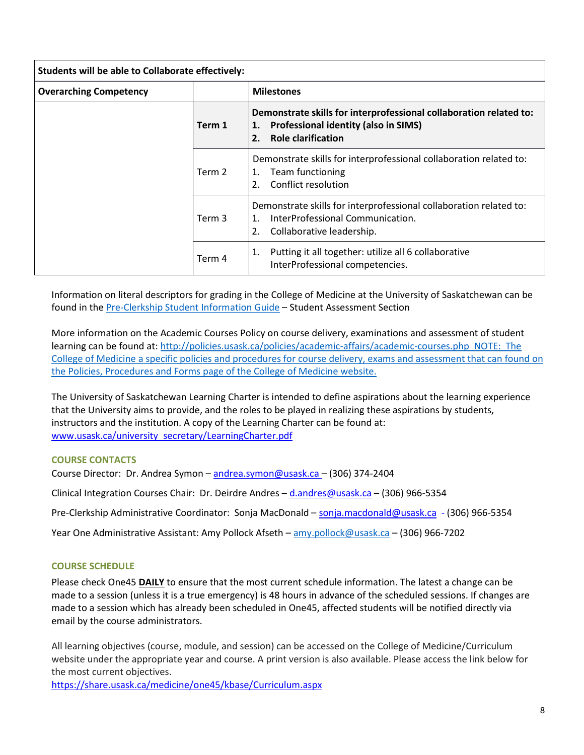| Students will be able to Collaborate effectively: |        |                                                                                                                                                             |
|---------------------------------------------------|--------|-------------------------------------------------------------------------------------------------------------------------------------------------------------|
| <b>Overarching Competency</b>                     |        | <b>Milestones</b>                                                                                                                                           |
|                                                   | Term 1 | Demonstrate skills for interprofessional collaboration related to:<br><b>Professional identity (also in SIMS)</b><br>1.<br><b>Role clarification</b><br>2.  |
|                                                   | Term 2 | Demonstrate skills for interprofessional collaboration related to:<br>Team functioning<br>1.<br>Conflict resolution<br>2.                                   |
|                                                   | Term 3 | Demonstrate skills for interprofessional collaboration related to:<br>InterProfessional Communication.<br>$\mathbf{1}$ .<br>2.<br>Collaborative leadership. |
|                                                   | Term 4 | Putting it all together: utilize all 6 collaborative<br>1.<br>InterProfessional competencies.                                                               |

Information on literal descriptors for grading in the College of Medicine at the University of Saskatchewan can be found in the [Pre-Clerkship Student Information Guide](https://medicine.usask.ca/documents/ugme/syllabi/student-guide-to-pre-clerkship.pdf) – Student Assessment Section

More information on the Academic Courses Policy on course delivery, examinations and assessment of student learning can be found at:<http://policies.usask.ca/policies/academic-affairs/academic-courses.php>NOTE: The College of Medicine a specific policies and procedures for course delivery, exams and assessment that can found on the [Policies, Procedures and Forms p](https://medicine.usask.ca/students/undergraduate/policies.php)age of the College of Medicine website.

The University of Saskatchewan Learning Charter is intended to define aspirations about the learning experience that the University aims to provide, and the roles to be played in realizing these aspirations by students, instructors and the institution. A copy of the Learning Charter can be found at: [www.usask.ca/university\\_secretary/LearningCharter.pdf](http://www.usask.ca/university_secretary/LearningCharter.pdf)

# **COURSE CONTACTS**

Course Director: Dr. Andrea Symon [– andrea.symon@usask.ca –](mailto:andrea.symon@usask.ca) (306) 374-2404

Clinical Integration Courses Chair: Dr. Deirdre Andres – [d.andres@usask.ca](mailto:d.andres@usask.ca) – (306) 966-5354

Pre-Clerkship Administrative Coordinator: Sonja MacDonald – [sonja.macdonald@usask.ca](mailto:sonja.macdonald@usask.ca) - (306) 966-5354

Year One Administrative Assistant: Amy Pollock Afseth [– amy.pollock@usask.ca](mailto:amy.pollock@usask.ca) – (306) 966-7202

#### **COURSE SCHEDULE**

Please check One45 **DAILY** to ensure that the most current schedule information. The latest a change can be made to a session (unless it is a true emergency) is 48 hours in advance of the scheduled sessions. If changes are made to a session which has already been scheduled in One45, affected students will be notified directly via email by the course administrators.

All learning objectives (course, module, and session) can be accessed on the College of Medicine/Curriculum website under the appropriate year and course. A print version is also available. Please access the link below for the most current objectives.

<https://share.usask.ca/medicine/one45/kbase/Curriculum.aspx>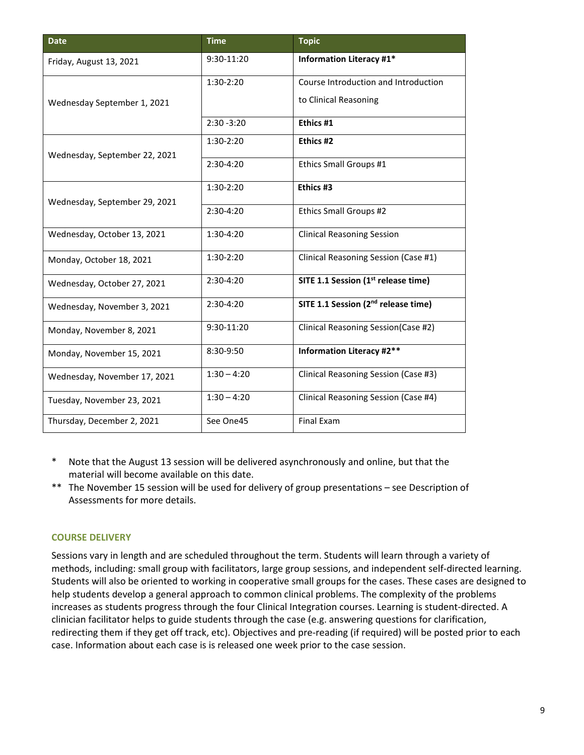| <b>Date</b>                   | <b>Time</b>   | <b>Topic</b>                                    |
|-------------------------------|---------------|-------------------------------------------------|
| Friday, August 13, 2021       | 9:30-11:20    | <b>Information Literacy #1*</b>                 |
|                               | $1:30-2:20$   | Course Introduction and Introduction            |
| Wednesday September 1, 2021   |               | to Clinical Reasoning                           |
|                               | $2:30 - 3:20$ | Ethics #1                                       |
| Wednesday, September 22, 2021 | 1:30-2:20     | Ethics #2                                       |
|                               | 2:30-4:20     | Ethics Small Groups #1                          |
| Wednesday, September 29, 2021 | 1:30-2:20     | Ethics #3                                       |
|                               | 2:30-4:20     | Ethics Small Groups #2                          |
| Wednesday, October 13, 2021   | 1:30-4:20     | <b>Clinical Reasoning Session</b>               |
| Monday, October 18, 2021      | 1:30-2:20     | Clinical Reasoning Session (Case #1)            |
| Wednesday, October 27, 2021   | 2:30-4:20     | SITE 1.1 Session (1st release time)             |
| Wednesday, November 3, 2021   | 2:30-4:20     | SITE 1.1 Session (2 <sup>nd</sup> release time) |
| Monday, November 8, 2021      | 9:30-11:20    | Clinical Reasoning Session(Case #2)             |
| Monday, November 15, 2021     | 8:30-9:50     | <b>Information Literacy #2**</b>                |
| Wednesday, November 17, 2021  | $1:30 - 4:20$ | Clinical Reasoning Session (Case #3)            |
| Tuesday, November 23, 2021    | $1:30 - 4:20$ | Clinical Reasoning Session (Case #4)            |
| Thursday, December 2, 2021    | See One45     | <b>Final Exam</b>                               |

\* Note that the August 13 session will be delivered asynchronously and online, but that the material will become available on this date.

\*\* The November 15 session will be used for delivery of group presentations – see Description of Assessments for more details.

# **COURSE DELIVERY**

Sessions vary in length and are scheduled throughout the term. Students will learn through a variety of methods, including: small group with facilitators, large group sessions, and independent self-directed learning. Students will also be oriented to working in cooperative small groups for the cases. These cases are designed to help students develop a general approach to common clinical problems. The complexity of the problems increases as students progress through the four Clinical Integration courses. Learning is student-directed. A clinician facilitator helps to guide students through the case (e.g. answering questions for clarification, redirecting them if they get off track, etc). Objectives and pre-reading (if required) will be posted prior to each case. Information about each case is is released one week prior to the case session.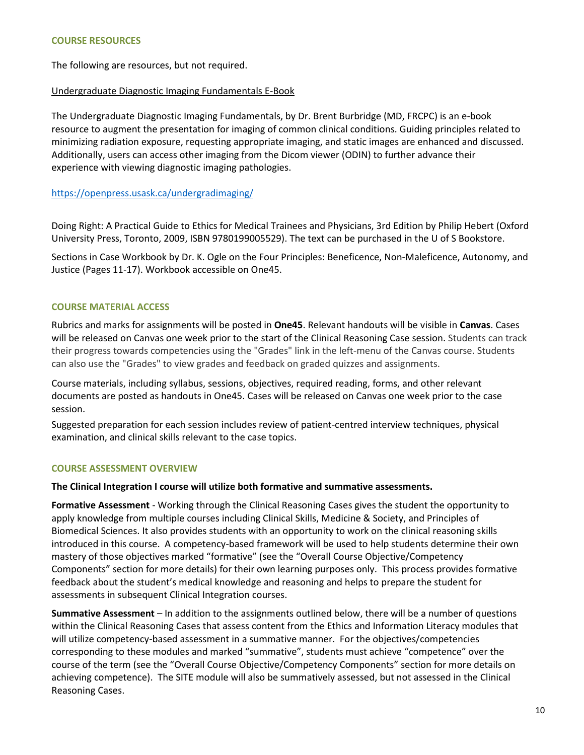The following are resources, but not required.

#### Undergraduate Diagnostic Imaging Fundamentals E-Book

The Undergraduate Diagnostic Imaging Fundamentals, by Dr. Brent Burbridge (MD, FRCPC) is an e-book resource to augment the presentation for imaging of common clinical conditions. Guiding principles related to minimizing radiation exposure, requesting appropriate imaging, and static images are enhanced and discussed. Additionally, users can access other imaging from the Dicom viewer (ODIN) to further advance their experience with viewing diagnostic imaging pathologies.

#### <https://openpress.usask.ca/undergradimaging/>

Doing Right: A Practical Guide to Ethics for Medical Trainees and Physicians, 3rd Edition by Philip Hebert (Oxford University Press, Toronto, 2009, ISBN 9780199005529). The text can be purchased in the U of S Bookstore.

Sections in Case Workbook by Dr. K. Ogle on the Four Principles: Beneficence, Non-Maleficence, Autonomy, and Justice (Pages 11-17). Workbook accessible on One45.

#### **COURSE MATERIAL ACCESS**

Rubrics and marks for assignments will be posted in **One45**. Relevant handouts will be visible in **Canvas**. Cases will be released on Canvas one week prior to the start of the Clinical Reasoning Case session. Students can track their progress towards competencies using the "Grades" link in the left-menu of the Canvas course. Students can also use the "Grades" to view grades and feedback on graded quizzes and assignments.

Course materials, including syllabus, sessions, objectives, required reading, forms, and other relevant documents are posted as handouts in One45. Cases will be released on Canvas one week prior to the case session.

Suggested preparation for each session includes review of patient-centred interview techniques, physical examination, and clinical skills relevant to the case topics.

#### **COURSE ASSESSMENT OVERVIEW**

**The Clinical Integration I course will utilize both formative and summative assessments.** 

**Formative Assessment** - Working through the Clinical Reasoning Cases gives the student the opportunity to apply knowledge from multiple courses including Clinical Skills, Medicine & Society, and Principles of Biomedical Sciences. It also provides students with an opportunity to work on the clinical reasoning skills introduced in this course. A competency-based framework will be used to help students determine their own mastery of those objectives marked "formative" (see the "Overall Course Objective/Competency Components" section for more details) for their own learning purposes only. This process provides formative feedback about the student's medical knowledge and reasoning and helps to prepare the student for assessments in subsequent Clinical Integration courses.

**Summative Assessment** – In addition to the assignments outlined below, there will be a number of questions within the Clinical Reasoning Cases that assess content from the Ethics and Information Literacy modules that will utilize competency-based assessment in a summative manner. For the objectives/competencies corresponding to these modules and marked "summative", students must achieve "competence" over the course of the term (see the "Overall Course Objective/Competency Components" section for more details on achieving competence). The SITE module will also be summatively assessed, but not assessed in the Clinical Reasoning Cases.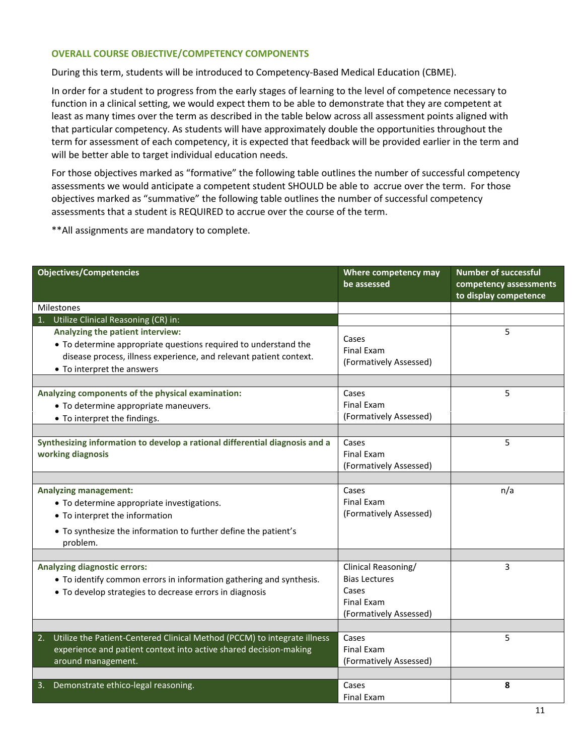#### **OVERALL COURSE OBJECTIVE/COMPETENCY COMPONENTS**

During this term, students will be introduced to Competency-Based Medical Education (CBME).

In order for a student to progress from the early stages of learning to the level of competence necessary to function in a clinical setting, we would expect them to be able to demonstrate that they are competent at least as many times over the term as described in the table below across all assessment points aligned with that particular competency. As students will have approximately double the opportunities throughout the term for assessment of each competency, it is expected that feedback will be provided earlier in the term and will be better able to target individual education needs.

For those objectives marked as "formative" the following table outlines the number of successful competency assessments we would anticipate a competent student SHOULD be able to accrue over the term. For those objectives marked as "summative" the following table outlines the number of successful competency assessments that a student is REQUIRED to accrue over the course of the term.

\*\*All assignments are mandatory to complete.

| <b>Objectives/Competencies</b>                                                                                                                                                                          | Where competency may<br>be assessed                                                                 | <b>Number of successful</b><br>competency assessments<br>to display competence |
|---------------------------------------------------------------------------------------------------------------------------------------------------------------------------------------------------------|-----------------------------------------------------------------------------------------------------|--------------------------------------------------------------------------------|
| Milestones                                                                                                                                                                                              |                                                                                                     |                                                                                |
| 1. Utilize Clinical Reasoning (CR) in:                                                                                                                                                                  |                                                                                                     |                                                                                |
| Analyzing the patient interview:<br>• To determine appropriate questions required to understand the<br>disease process, illness experience, and relevant patient context.<br>• To interpret the answers | Cases<br><b>Final Exam</b><br>(Formatively Assessed)                                                | 5                                                                              |
|                                                                                                                                                                                                         |                                                                                                     |                                                                                |
| Analyzing components of the physical examination:<br>• To determine appropriate maneuvers.<br>• To interpret the findings.                                                                              | Cases<br><b>Final Exam</b><br>(Formatively Assessed)                                                | 5                                                                              |
|                                                                                                                                                                                                         |                                                                                                     |                                                                                |
| Synthesizing information to develop a rational differential diagnosis and a<br>working diagnosis                                                                                                        | Cases<br><b>Final Exam</b><br>(Formatively Assessed)                                                | 5                                                                              |
|                                                                                                                                                                                                         |                                                                                                     |                                                                                |
| <b>Analyzing management:</b><br>• To determine appropriate investigations.<br>• To interpret the information<br>• To synthesize the information to further define the patient's<br>problem.             | Cases<br><b>Final Exam</b><br>(Formatively Assessed)                                                | n/a                                                                            |
|                                                                                                                                                                                                         |                                                                                                     |                                                                                |
| <b>Analyzing diagnostic errors:</b><br>• To identify common errors in information gathering and synthesis.<br>• To develop strategies to decrease errors in diagnosis                                   | Clinical Reasoning/<br><b>Bias Lectures</b><br>Cases<br><b>Final Exam</b><br>(Formatively Assessed) | 3                                                                              |
|                                                                                                                                                                                                         |                                                                                                     |                                                                                |
| Utilize the Patient-Centered Clinical Method (PCCM) to integrate illness<br>2.<br>experience and patient context into active shared decision-making<br>around management.                               | Cases<br><b>Final Exam</b><br>(Formatively Assessed)                                                | 5                                                                              |
|                                                                                                                                                                                                         |                                                                                                     |                                                                                |
| Demonstrate ethico-legal reasoning.<br>3.                                                                                                                                                               | Cases<br><b>Final Exam</b>                                                                          | 8                                                                              |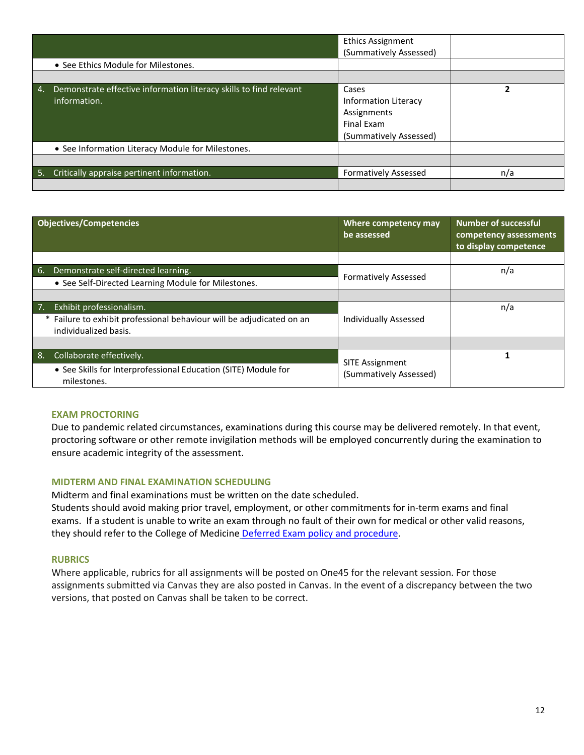|    |                                                                                    | <b>Ethics Assignment</b><br>(Summatively Assessed)                                          |     |
|----|------------------------------------------------------------------------------------|---------------------------------------------------------------------------------------------|-----|
|    | • See Ethics Module for Milestones.                                                |                                                                                             |     |
|    |                                                                                    |                                                                                             |     |
| 4. | Demonstrate effective information literacy skills to find relevant<br>information. | Cases<br><b>Information Literacy</b><br>Assignments<br>Final Exam<br>(Summatively Assessed) | 2   |
|    | • See Information Literacy Module for Milestones.                                  |                                                                                             |     |
|    |                                                                                    |                                                                                             |     |
|    | 5. Critically appraise pertinent information.                                      | <b>Formatively Assessed</b>                                                                 | n/a |
|    |                                                                                    |                                                                                             |     |

|    | <b>Objectives/Competencies</b>                                                                         | Where competency may<br>be assessed | <b>Number of successful</b><br>competency assessments<br>to display competence |
|----|--------------------------------------------------------------------------------------------------------|-------------------------------------|--------------------------------------------------------------------------------|
|    |                                                                                                        |                                     |                                                                                |
| 6. | Demonstrate self-directed learning.                                                                    | <b>Formatively Assessed</b>         | n/a                                                                            |
|    | • See Self-Directed Learning Module for Milestones.                                                    |                                     |                                                                                |
|    |                                                                                                        |                                     |                                                                                |
|    | Exhibit professionalism.                                                                               |                                     | n/a                                                                            |
|    | Failure to exhibit professional behaviour will be adjudicated on an<br>$\ast$<br>individualized basis. | <b>Individually Assessed</b>        |                                                                                |
|    |                                                                                                        |                                     |                                                                                |
| 8. | Collaborate effectively.                                                                               | <b>SITE Assignment</b>              |                                                                                |
|    | • See Skills for Interprofessional Education (SITE) Module for<br>milestones.                          | (Summatively Assessed)              |                                                                                |

# **EXAM PROCTORING**

Due to pandemic related circumstances, examinations during this course may be delivered remotely. In that event, proctoring software or other remote invigilation methods will be employed concurrently during the examination to ensure academic integrity of the assessment.

# **MIDTERM AND FINAL EXAMINATION SCHEDULING**

Midterm and final examinations must be written on the date scheduled.

Students should avoid making prior travel, employment, or other commitments for in-term exams and final exams. If a student is unable to write an exam through no fault of their own for medical or other valid reasons, they should refer to the College of Medicine [Deferred Exam policy and procedure.](https://medicine.usask.ca/policies/deferred-exams.php)

#### **RUBRICS**

Where applicable, rubrics for all assignments will be posted on One45 for the relevant session. For those assignments submitted via Canvas they are also posted in Canvas. In the event of a discrepancy between the two versions, that posted on Canvas shall be taken to be correct.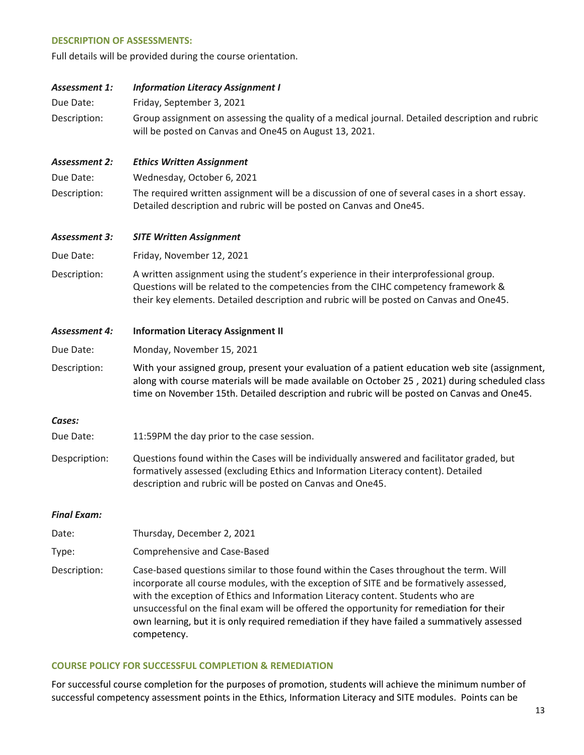#### **DESCRIPTION OF ASSESSMENTS:**

Full details will be provided during the course orientation.

| <b>Assessment 1:</b> | <b>Information Literacy Assignment I</b>                                                                                                                                                                                                                                                       |
|----------------------|------------------------------------------------------------------------------------------------------------------------------------------------------------------------------------------------------------------------------------------------------------------------------------------------|
| Due Date:            | Friday, September 3, 2021                                                                                                                                                                                                                                                                      |
| Description:         | Group assignment on assessing the quality of a medical journal. Detailed description and rubric<br>will be posted on Canvas and One45 on August 13, 2021.                                                                                                                                      |
| <b>Assessment 2:</b> | <b>Ethics Written Assignment</b>                                                                                                                                                                                                                                                               |
| Due Date:            | Wednesday, October 6, 2021                                                                                                                                                                                                                                                                     |
| Description:         | The required written assignment will be a discussion of one of several cases in a short essay.<br>Detailed description and rubric will be posted on Canvas and One45.                                                                                                                          |
| <b>Assessment 3:</b> | <b>SITE Written Assignment</b>                                                                                                                                                                                                                                                                 |
| Due Date:            | Friday, November 12, 2021                                                                                                                                                                                                                                                                      |
| Description:         | A written assignment using the student's experience in their interprofessional group.<br>Questions will be related to the competencies from the CIHC competency framework &<br>their key elements. Detailed description and rubric will be posted on Canvas and One45.                         |
|                      |                                                                                                                                                                                                                                                                                                |
| <b>Assessment 4:</b> | <b>Information Literacy Assignment II</b>                                                                                                                                                                                                                                                      |
| Due Date:            | Monday, November 15, 2021                                                                                                                                                                                                                                                                      |
| Description:         | With your assigned group, present your evaluation of a patient education web site (assignment,<br>along with course materials will be made available on October 25, 2021) during scheduled class<br>time on November 15th. Detailed description and rubric will be posted on Canvas and One45. |
| Cases:               |                                                                                                                                                                                                                                                                                                |
| Due Date:            | 11:59PM the day prior to the case session.                                                                                                                                                                                                                                                     |
| Despcription:        | Questions found within the Cases will be individually answered and facilitator graded, but<br>formatively assessed (excluding Ethics and Information Literacy content). Detailed<br>description and rubric will be posted on Canvas and One45.                                                 |
| <b>Final Exam:</b>   |                                                                                                                                                                                                                                                                                                |
| Date:                | Thursday, December 2, 2021                                                                                                                                                                                                                                                                     |

Description: Case-based questions similar to those found within the Cases throughout the term. Will incorporate all course modules, with the exception of SITE and be formatively assessed, with the exception of Ethics and Information Literacy content. Students who are unsuccessful on the final exam will be offered the opportunity for remediation for their own learning, but it is only required remediation if they have failed a summatively assessed competency.

# **COURSE POLICY FOR SUCCESSFUL COMPLETION & REMEDIATION**

For successful course completion for the purposes of promotion, students will achieve the minimum number of successful competency assessment points in the Ethics, Information Literacy and SITE modules. Points can be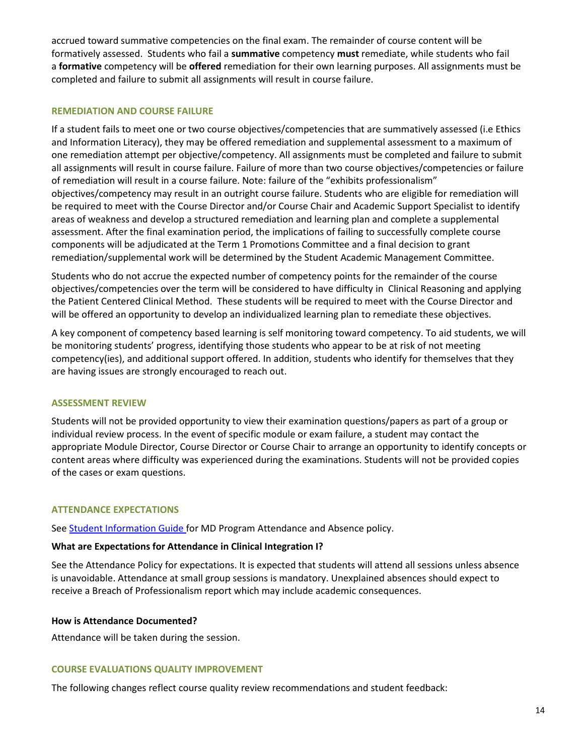accrued toward summative competencies on the final exam. The remainder of course content will be formatively assessed. Students who fail a **summative** competency **must** remediate, while students who fail a **formative** competency will be **offered** remediation for their own learning purposes. All assignments must be completed and failure to submit all assignments will result in course failure.

#### **REMEDIATION AND COURSE FAILURE**

If a student fails to meet one or two course objectives/competencies that are summatively assessed (i.e Ethics and Information Literacy), they may be offered remediation and supplemental assessment to a maximum of one remediation attempt per objective/competency. All assignments must be completed and failure to submit all assignments will result in course failure. Failure of more than two course objectives/competencies or failure of remediation will result in a course failure. Note: failure of the "exhibits professionalism" objectives/competency may result in an outright course failure. Students who are eligible for remediation will be required to meet with the Course Director and/or Course Chair and Academic Support Specialist to identify areas of weakness and develop a structured remediation and learning plan and complete a supplemental assessment. After the final examination period, the implications of failing to successfully complete course components will be adjudicated at the Term 1 Promotions Committee and a final decision to grant remediation/supplemental work will be determined by the Student Academic Management Committee.

Students who do not accrue the expected number of competency points for the remainder of the course objectives/competencies over the term will be considered to have difficulty in Clinical Reasoning and applying the Patient Centered Clinical Method. These students will be required to meet with the Course Director and will be offered an opportunity to develop an individualized learning plan to remediate these objectives.

A key component of competency based learning is self monitoring toward competency. To aid students, we will be monitoring students' progress, identifying those students who appear to be at risk of not meeting competency(ies), and additional support offered. In addition, students who identify for themselves that they are having issues are strongly encouraged to reach out.

# **ASSESSMENT REVIEW**

Students will not be provided opportunity to view their examination questions/papers as part of a group or individual review process. In the event of specific module or exam failure, a student may contact the appropriate Module Director, Course Director or Course Chair to arrange an opportunity to identify concepts or content areas where difficulty was experienced during the examinations. Students will not be provided copies of the cases or exam questions.

# **ATTENDANCE EXPECTATIONS**

See **Student Information Guide** for MD Program Attendance and Absence policy.

# **What are Expectations for Attendance in Clinical Integration I?**

See the Attendance Policy for expectations. It is expected that students will attend all sessions unless absence is unavoidable. Attendance at small group sessions is mandatory. Unexplained absences should expect to receive a Breach of Professionalism report which may include academic consequences.

#### **How is Attendance Documented?**

Attendance will be taken during the session.

#### **COURSE EVALUATIONS QUALITY IMPROVEMENT**

The following changes reflect course quality review recommendations and student feedback: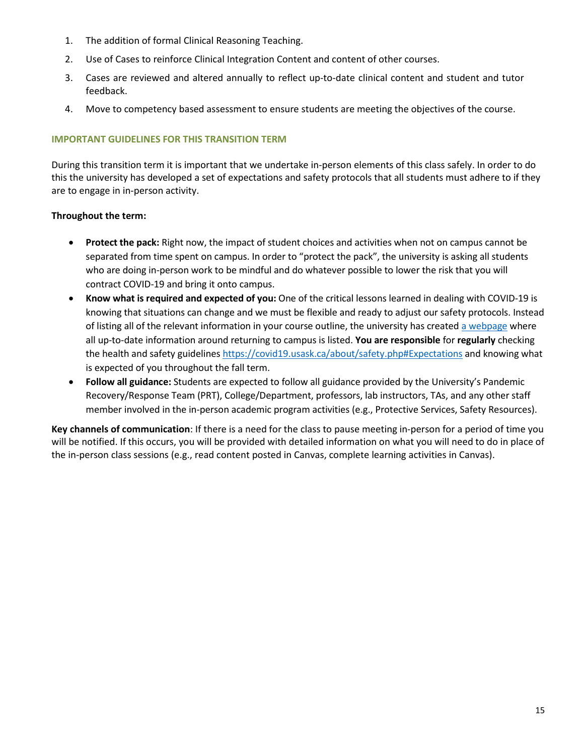- 1. The addition of formal Clinical Reasoning Teaching.
- 2. Use of Cases to reinforce Clinical Integration Content and content of other courses.
- 3. Cases are reviewed and altered annually to reflect up-to-date clinical content and student and tutor feedback.
- 4. Move to competency based assessment to ensure students are meeting the objectives of the course.

# **IMPORTANT GUIDELINES FOR THIS TRANSITION TERM**

During this transition term it is important that we undertake in-person elements of this class safely. In order to do this the university has developed a set of expectations and safety protocols that all students must adhere to if they are to engage in in-person activity.

# **Throughout the term:**

- **Protect the pack:** Right now, the impact of student choices and activities when not on campus cannot be separated from time spent on campus. In order to "protect the pack", the university is asking all students who are doing in-person work to be mindful and do whatever possible to lower the risk that you will contract COVID-19 and bring it onto campus.
- **Know what is required and expected of you:** One of the critical lessons learned in dealing with COVID-19 is knowing that situations can change and we must be flexible and ready to adjust our safety protocols. Instead of listing all of the relevant information in your course outline, the university has created [a webpage](https://covid19.usask.ca/students.php#Oncampusessentials) where all up-to-date information around returning to campus is listed. **You are responsible** for **regularly** checking the health and safety guideline[s https://covid19.usask.ca/about/safety.php#Expectations](https://covid19.usask.ca/about/safety.php#Expectations) and knowing what is expected of you throughout the fall term.
- **Follow all guidance:** Students are expected to follow all guidance provided by the University's Pandemic Recovery/Response Team (PRT), College/Department, professors, lab instructors, TAs, and any other staff member involved in the in-person academic program activities (e.g., Protective Services, Safety Resources).

**Key channels of communication**: If there is a need for the class to pause meeting in-person for a period of time you will be notified. If this occurs, you will be provided with detailed information on what you will need to do in place of the in-person class sessions (e.g., read content posted in Canvas, complete learning activities in Canvas).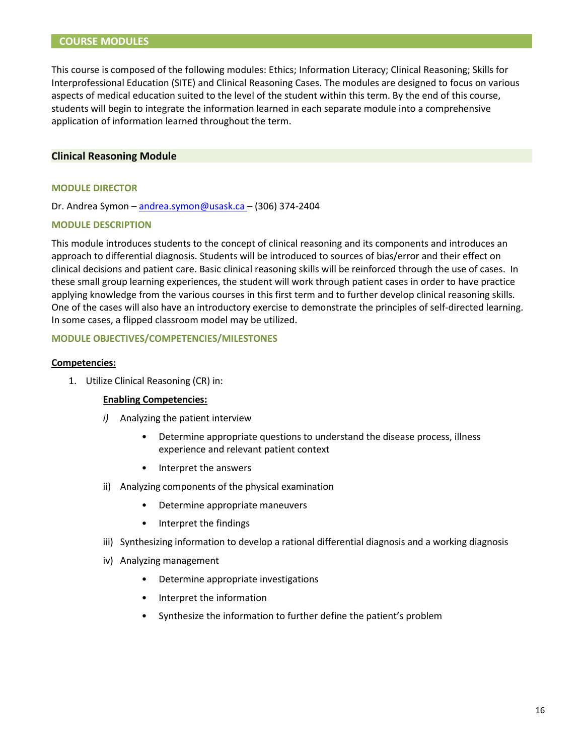# **COURSE MODULES**

This course is composed of the following modules: Ethics; Information Literacy; Clinical Reasoning; Skills for Interprofessional Education (SITE) and Clinical Reasoning Cases. The modules are designed to focus on various aspects of medical education suited to the level of the student within this term. By the end of this course, students will begin to integrate the information learned in each separate module into a comprehensive application of information learned throughout the term.

#### **Clinical Reasoning Module**

#### **MODULE DIRECTOR**

Dr. Andrea Symon [– andrea.symon@usask.ca](mailto:andrea.symon@usask.ca) – (306) 374-2404

#### **MODULE DESCRIPTION**

This module introduces students to the concept of clinical reasoning and its components and introduces an approach to differential diagnosis. Students will be introduced to sources of bias/error and their effect on clinical decisions and patient care. Basic clinical reasoning skills will be reinforced through the use of cases. In these small group learning experiences, the student will work through patient cases in order to have practice applying knowledge from the various courses in this first term and to further develop clinical reasoning skills. One of the cases will also have an introductory exercise to demonstrate the principles of self-directed learning. In some cases, a flipped classroom model may be utilized.

#### **MODULE OBJECTIVES/COMPETENCIES/MILESTONES**

#### **Competencies:**

1. Utilize Clinical Reasoning (CR) in:

#### **Enabling Competencies:**

- *i)* Analyzing the patient interview
	- Determine appropriate questions to understand the disease process, illness experience and relevant patient context
	- Interpret the answers
- ii) Analyzing components of the physical examination
	- Determine appropriate maneuvers
	- Interpret the findings
- iii) Synthesizing information to develop a rational differential diagnosis and a working diagnosis
- iv) Analyzing management
	- Determine appropriate investigations
	- Interpret the information
	- Synthesize the information to further define the patient's problem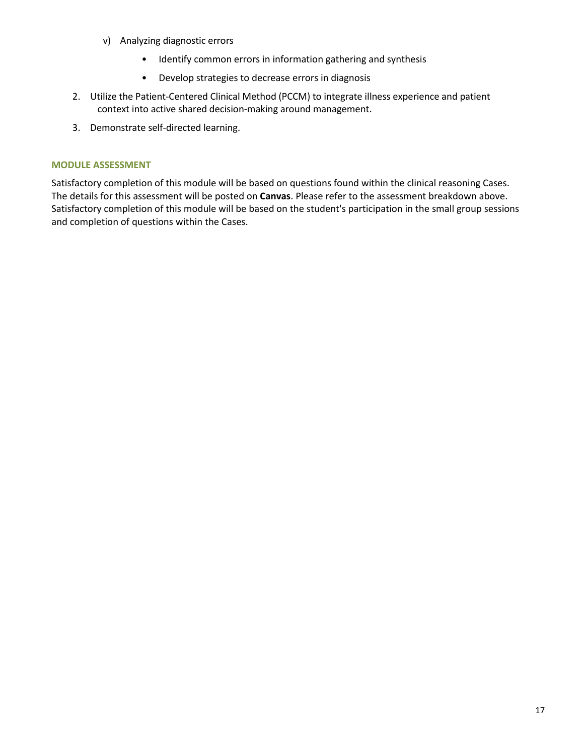- v) Analyzing diagnostic errors
	- Identify common errors in information gathering and synthesis
	- Develop strategies to decrease errors in diagnosis
- 2. Utilize the Patient-Centered Clinical Method (PCCM) to integrate illness experience and patient context into active shared decision-making around management.
- 3. Demonstrate self-directed learning.

#### **MODULE ASSESSMENT**

Satisfactory completion of this module will be based on questions found within the clinical reasoning Cases. The details for this assessment will be posted on **Canvas**. Please refer to the assessment breakdown above. Satisfactory completion of this module will be based on the student's participation in the small group sessions and completion of questions within the Cases.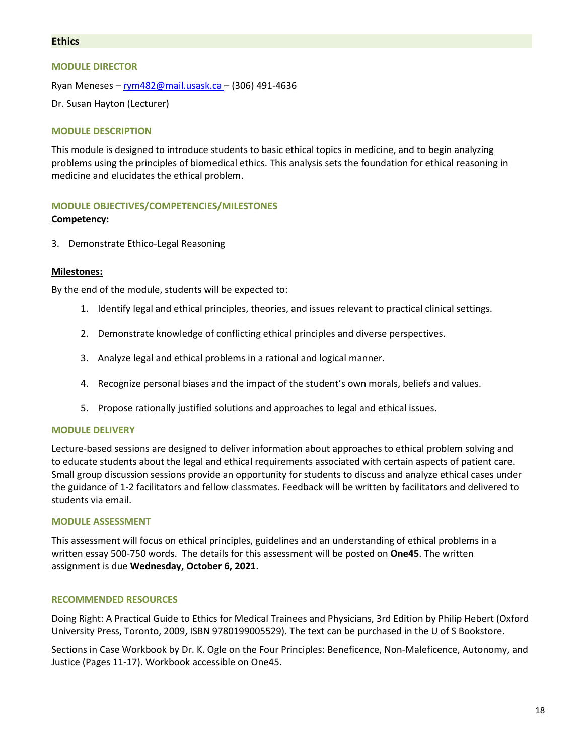# **Ethics**

#### **MODULE DIRECTOR**

Ryan Meneses – [rym482@mail.usask.ca –](mailto:rym482@mail.usask.ca) (306) 491-4636

Dr. Susan Hayton (Lecturer)

#### **MODULE DESCRIPTION**

This module is designed to introduce students to basic ethical topics in medicine, and to begin analyzing problems using the principles of biomedical ethics. This analysis sets the foundation for ethical reasoning in medicine and elucidates the ethical problem.

#### **MODULE OBJECTIVES/COMPETENCIES/MILESTONES**

#### **Competency:**

3. Demonstrate Ethico-Legal Reasoning

#### **Milestones:**

By the end of the module, students will be expected to:

- 1. Identify legal and ethical principles, theories, and issues relevant to practical clinical settings.
- 2. Demonstrate knowledge of conflicting ethical principles and diverse perspectives.
- 3. Analyze legal and ethical problems in a rational and logical manner.
- 4. Recognize personal biases and the impact of the student's own morals, beliefs and values.
- 5. Propose rationally justified solutions and approaches to legal and ethical issues.

#### **MODULE DELIVERY**

Lecture-based sessions are designed to deliver information about approaches to ethical problem solving and to educate students about the legal and ethical requirements associated with certain aspects of patient care. Small group discussion sessions provide an opportunity for students to discuss and analyze ethical cases under the guidance of 1-2 facilitators and fellow classmates. Feedback will be written by facilitators and delivered to students via email.

#### **MODULE ASSESSMENT**

This assessment will focus on ethical principles, guidelines and an understanding of ethical problems in a written essay 500-750 words. The details for this assessment will be posted on **One45**. The written assignment is due **Wednesday, October 6, 2021**.

#### **RECOMMENDED RESOURCES**

Doing Right: A Practical Guide to Ethics for Medical Trainees and Physicians, 3rd Edition by Philip Hebert (Oxford University Press, Toronto, 2009, ISBN 9780199005529). The text can be purchased in the U of S Bookstore.

Sections in Case Workbook by Dr. K. Ogle on the Four Principles: Beneficence, Non-Maleficence, Autonomy, and Justice (Pages 11-17). Workbook accessible on One45.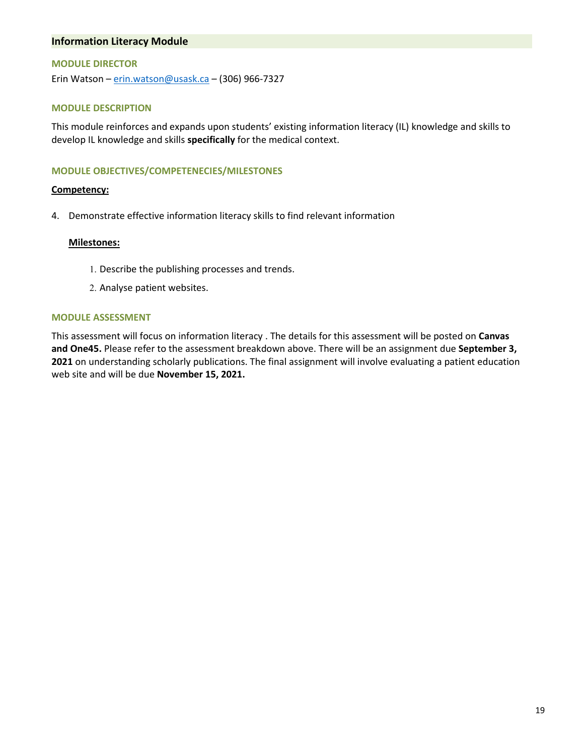# **Information Literacy Module**

#### **MODULE DIRECTOR**

Erin Watson – [erin.watson@usask.ca –](mailto:erin.watson@usask.ca) (306) 966-7327

#### **MODULE DESCRIPTION**

This module reinforces and expands upon students' existing information literacy (IL) knowledge and skills to develop IL knowledge and skills **specifically** for the medical context.

#### **MODULE OBJECTIVES/COMPETENECIES/MILESTONES**

#### **Competency:**

4. Demonstrate effective information literacy skills to find relevant information

#### **Milestones:**

- 1. Describe the publishing processes and trends.
- 2. Analyse patient websites.

#### **MODULE ASSESSMENT**

This assessment will focus on information literacy . The details for this assessment will be posted on **Canvas and One45.** Please refer to the assessment breakdown above. There will be an assignment due **September 3, 2021** on understanding scholarly publications. The final assignment will involve evaluating a patient education web site and will be due **November 15, 2021.**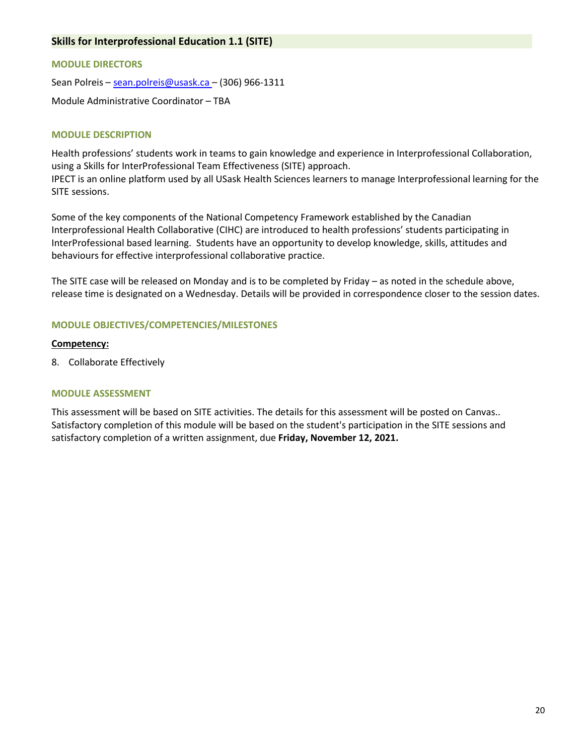# **Skills for Interprofessional Education 1.1 (SITE)**

#### **MODULE DIRECTORS**

Sean Polreis [– sean.polreis@usask.ca –](mailto:sean.polreis@usask.ca) (306) 966-1311

Module Administrative Coordinator – TBA

#### **MODULE DESCRIPTION**

Health professions' students work in teams to gain knowledge and experience in Interprofessional Collaboration, using a Skills for InterProfessional Team Effectiveness (SITE) approach. IPECT is an online platform used by all USask Health Sciences learners to manage Interprofessional learning for the SITE sessions.

Some of the key components of the National Competency Framework established by the Canadian Interprofessional Health Collaborative (CIHC) are introduced to health professions' students participating in InterProfessional based learning. Students have an opportunity to develop knowledge, skills, attitudes and behaviours for effective interprofessional collaborative practice.

The SITE case will be released on Monday and is to be completed by Friday – as noted in the schedule above, release time is designated on a Wednesday. Details will be provided in correspondence closer to the session dates.

# **MODULE OBJECTIVES/COMPETENCIES/MILESTONES**

#### **Competency:**

8. Collaborate Effectively

#### **MODULE ASSESSMENT**

This assessment will be based on SITE activities. The details for this assessment will be posted on Canvas.. Satisfactory completion of this module will be based on the student's participation in the SITE sessions and satisfactory completion of a written assignment, due **Friday, November 12, 2021.**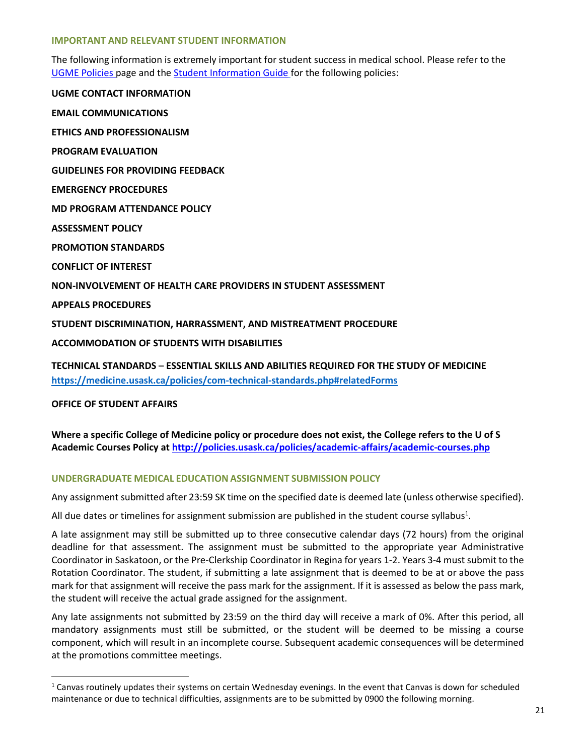#### **IMPORTANT AND RELEVANT STUDENT INFORMATION**

The following information is extremely important for student success in medical school. Please refer to the [UGME Policies p](http://medicine.usask.ca/students/undergraduate/policies.php)age and the [Student Information Guide](http://medicine.usask.ca/students/undergraduate/curriculum-schedules-objectives.php) for the following policies:

**UGME CONTACT INFORMATION EMAIL COMMUNICATIONS ETHICS AND PROFESSIONALISM PROGRAM EVALUATION GUIDELINES FOR PROVIDING FEEDBACK\ EMERGENCY PROCEDURES MD PROGRAM ATTENDANCE POLICY ASSESSMENT POLICY PROMOTION STANDARDS CONFLICT OF INTEREST NON-INVOLVEMENT OF HEALTH CARE PROVIDERS IN STUDENT ASSESSMENT APPEALS PROCEDURES STUDENT DISCRIMINATION, HARRASSMENT, AND MISTREATMENT PROCEDURE ACCOMMODATION OF STUDENTS WITH DISABILITIES** 

**TECHNICAL STANDARDS – ESSENTIAL SKILLS AND ABILITIES REQUIRED FOR THE STUDY OF MEDICINE <https://medicine.usask.ca/policies/com-technical-standards.php#relatedForms>**

**OFFICE OF STUDENT AFFAIRS**

l

**Where a specific College of Medicine policy or procedure does not exist, the College refers to the U of S Academic Courses Policy at<http://policies.usask.ca/policies/academic-affairs/academic-courses.php>**

# **UNDERGRADUATE MEDICAL EDUCATION ASSIGNMENT SUBMISSION POLICY**

Any assignment submitted after 23:59 SK time on the specified date is deemed late (unless otherwise specified).

All due dates or timelines for assignment submission are published in the student course syllabus<sup>1</sup>.

A late assignment may still be submitted up to three consecutive calendar days (72 hours) from the original deadline for that assessment. The assignment must be submitted to the appropriate year Administrative Coordinator in Saskatoon, or the Pre-Clerkship Coordinator in Regina for years 1-2. Years 3-4 must submit to the Rotation Coordinator. The student, if submitting a late assignment that is deemed to be at or above the pass mark for that assignment will receive the pass mark for the assignment. If it is assessed as below the pass mark, the student will receive the actual grade assigned for the assignment.

Any late assignments not submitted by 23:59 on the third day will receive a mark of 0%. After this period, all mandatory assignments must still be submitted, or the student will be deemed to be missing a course component, which will result in an incomplete course. Subsequent academic consequences will be determined at the promotions committee meetings.

 $1$  Canvas routinely updates their systems on certain Wednesday evenings. In the event that Canvas is down for scheduled maintenance or due to technical difficulties, assignments are to be submitted by 0900 the following morning.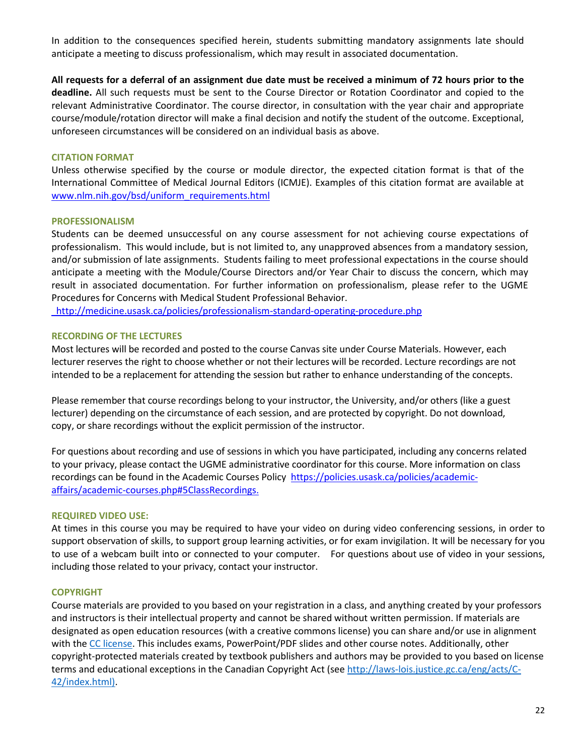In addition to the consequences specified herein, students submitting mandatory assignments late should anticipate a meeting to discuss professionalism, which may result in associated documentation.

**All requests for a deferral of an assignment due date must be received a minimum of 72 hours prior to the deadline.** All such requests must be sent to the Course Director or Rotation Coordinator and copied to the relevant Administrative Coordinator. The course director, in consultation with the year chair and appropriate course/module/rotation director will make a final decision and notify the student of the outcome. Exceptional, unforeseen circumstances will be considered on an individual basis as above.

# **CITATION FORMAT**

Unless otherwise specified by the course or module director, the expected citation format is that of the International Committee of Medical Journal Editors (ICMJE). Examples of this citation format are available at [www.nlm.nih.gov/bsd/uniform\\_requirements.html](http://www.nlm.nih.gov/bsd/uniform_requirements.html)

#### **PROFESSIONALISM**

Students can be deemed unsuccessful on any course assessment for not achieving course expectations of professionalism. This would include, but is not limited to, any unapproved absences from a mandatory session, and/or submission of late assignments. Students failing to meet professional expectations in the course should anticipate a meeting with the Module/Course Directors and/or Year Chair to discuss the concern, which may result in associated documentation. For further information on professionalism, please refer to the UGME Procedures for Concerns with Medical Student Professional Behavior.

<http://medicine.usask.ca/policies/professionalism-standard-operating-procedure.php>

#### **RECORDING OF THE LECTURES**

Most lectures will be recorded and posted to the course Canvas site under Course Materials. However, each lecturer reserves the right to choose whether or not their lectures will be recorded. Lecture recordings are not intended to be a replacement for attending the session but rather to enhance understanding of the concepts.

Please remember that course recordings belong to your instructor, the University, and/or others (like a guest lecturer) depending on the circumstance of each session, and are protected by copyright. Do not download, copy, or share recordings without the explicit permission of the instructor.

For questions about recording and use of sessions in which you have participated, including any concerns related to your privacy, please contact the UGME administrative coordinator for this course. More information on class recordings can be found in the Academic Courses Policy [https://policies.usask.ca/policies/academic](https://policies.usask.ca/policies/academic-affairs/academic-courses.php#5ClassRecordings)[affairs/academic-courses.php#5ClassRecordings.](https://policies.usask.ca/policies/academic-affairs/academic-courses.php#5ClassRecordings)

#### **REQUIRED VIDEO USE:**

At times in this course you may be required to have your video on during video conferencing sessions, in order to support observation of skills, to support group learning activities, or for exam invigilation. It will be necessary for you to use of a webcam built into or connected to your computer. For questions about use of video in your sessions, including those related to your privacy, contact your instructor.

# **COPYRIGHT**

Course materials are provided to you based on your registration in a class, and anything created by your professors and instructors is their intellectual property and cannot be shared without written permission. If materials are designated as open education resources (with a creative commons license) you can share and/or use in alignment with the [CC license.](https://openpress.usask.ca/authoring/chapter/creative-commons-licenses/) This includes exams, PowerPoint/PDF slides and other course notes. Additionally, other copyright-protected materials created by textbook publishers and authors may be provided to you based on license terms and educational exceptions in the Canadian Copyright Act (see [http://laws-lois.justice.gc.ca/eng/acts/C-](http://laws-lois.justice.gc.ca/eng/acts/C-42/index.html)[42/index.html\).](http://laws-lois.justice.gc.ca/eng/acts/C-42/index.html)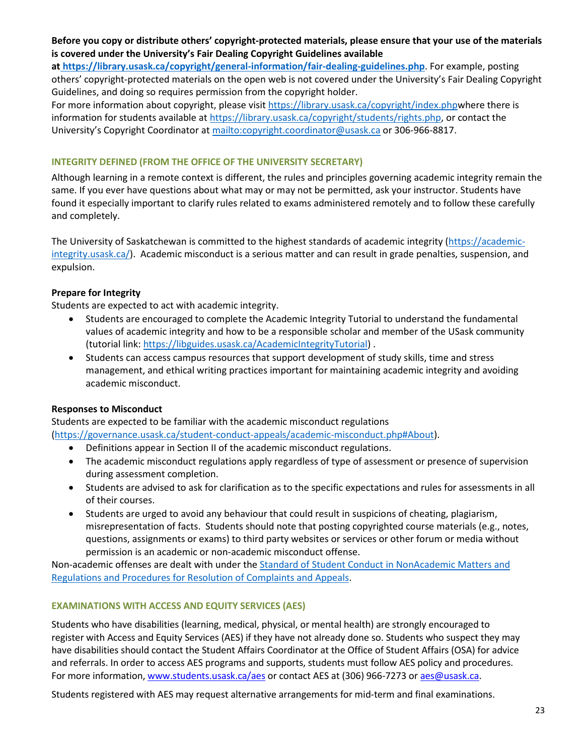# **Before you copy or distribute others' copyright-protected materials, please ensure that your use of the materials is covered under the University's Fair Dealing Copyright Guidelines available**

**a[t https://library.usask.ca/copyright/general-information/fair-dealing-guidelines.php](https://library.usask.ca/copyright/general-information/fair-dealing-guidelines.php)**. For example, posting others' copyright-protected materials on the open web is not covered under the University's Fair Dealing Copyright Guidelines, and doing so requires permission from the copyright holder.

For more information about copyright, please visit [https://library.usask.ca/copyright/index.phpw](https://library.usask.ca/copyright/index.php)here there is information for students available at [https://library.usask.ca/copyright/students/rights.php,](https://library.usask.ca/copyright/students/rights.php) or contact the University's Copyright Coordinator a[t mailto:copyright.coordinator@usask.ca](mailto:copyright.coordinator@usask.ca) or 306-966-8817.

# **INTEGRITY DEFINED (FROM THE OFFICE OF THE UNIVERSITY SECRETARY)**

Although learning in a remote context is different, the rules and principles governing academic integrity remain the same. If you ever have questions about what may or may not be permitted, ask your instructor. Students have found it especially important to clarify rules related to exams administered remotely and to follow these carefully and completely.

The University of Saskatchewan is committed to the highest standards of academic integrity [\(https://academic](https://academic-integrity.usask.ca/)[integrity.usask.ca/\)](https://academic-integrity.usask.ca/). Academic misconduct is a serious matter and can result in grade penalties, suspension, and expulsion.

# **Prepare for Integrity**

Students are expected to act with academic integrity.

- Students are encouraged to complete the Academic Integrity Tutorial to understand the fundamental values of academic integrity and how to be a responsible scholar and member of the USask community (tutorial link: [https://libguides.usask.ca/AcademicIntegrityTutorial\)](https://libguides.usask.ca/AcademicIntegrityTutorial) .
- Students can access campus resources that support development of study skills, time and stress management, and ethical writing practices important for maintaining academic integrity and avoiding academic misconduct.

# **Responses to Misconduct**

Students are expected to be familiar with the academic misconduct regulations

[\(https://governance.usask.ca/student-conduct-appeals/academic-misconduct.php#About\)](https://governance.usask.ca/student-conduct-appeals/academic-misconduct.php#About).

- Definitions appear in Section II of the academic misconduct regulations.
- The academic misconduct regulations apply regardless of type of assessment or presence of supervision during assessment completion.
- Students are advised to ask for clarification as to the specific expectations and rules for assessments in all of their courses.
- Students are urged to avoid any behaviour that could result in suspicions of cheating, plagiarism, misrepresentation of facts. Students should note that posting copyrighted course materials (e.g., notes, questions, assignments or exams) to third party websites or services or other forum or media without permission is an academic or non-academic misconduct offense.

Non-academic offenses are dealt with under the Standard of Student Conduct in NonAcademic Matters and [Regulations and Procedures for Resolution of Complaints and Appeals.](https://governance.usask.ca/student-conduct-appeals/non-academic-misconduct.php)

# **EXAMINATIONS WITH ACCESS AND EQUITY SERVICES (AES)**

Students who have disabilities (learning, medical, physical, or mental health) are strongly encouraged to register with Access and Equity Services (AES) if they have not already done so. Students who suspect they may have disabilities should contact the Student Affairs Coordinator at the Office of Student Affairs (OSA) for advice and referrals. In order to access AES programs and supports, students must follow AES policy and procedures. For more information, [www.students.usask.ca/aes](http://www.students.usask.ca/aes) or contact AES at (306) 966-7273 o[r aes@usask.ca.](mailto:aes@usask.ca)

Students registered with AES may request alternative arrangements for mid-term and final examinations.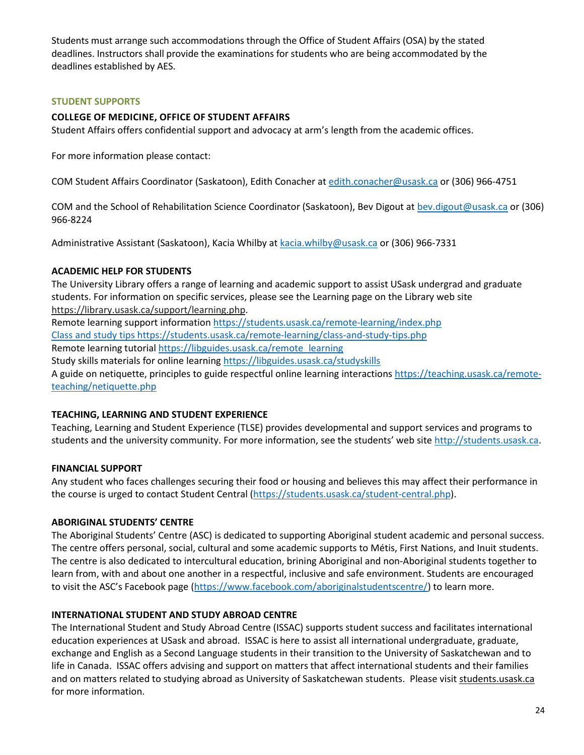Students must arrange such accommodations through the Office of Student Affairs (OSA) by the stated deadlines. Instructors shall provide the examinations for students who are being accommodated by the deadlines established by AES.

# **STUDENT SUPPORTS**

# **COLLEGE OF MEDICINE, OFFICE OF STUDENT AFFAIRS**

Student Affairs offers confidential support and advocacy at arm's length from the academic offices.

For more information please contact:

COM Student Affairs Coordinator (Saskatoon), Edith Conacher a[t edith.conacher@usask.ca](mailto:edith.conacher@usask.ca) or (306) 966-4751

COM and the School of Rehabilitation Science Coordinator (Saskatoon), Bev Digout a[t bev.digout@usask.ca o](mailto:bev.digout@usask.ca)r (306) 966-8224

Administrative Assistant (Saskatoon), Kacia Whilby at [kacia.whilby@usask.ca](mailto:kacia.whilby@usask.ca) or (306) 966-7331

# **ACADEMIC HELP FOR STUDENTS**

The University Library offers a range of learning and academic support to assist USask undergrad and graduate students. For information on specific services, please see the Learning page on the Library web site [https://library.usask.ca/support/learning.php.](https://library.usask.ca/support/learning.php) Remote learning support informatio[n https://students.usask.ca/remote-learning/index.php](https://students.usask.ca/remote-learning/index.php) Class and study tips<https://students.usask.ca/remote-learning/class-and-study-tips.php> Remote learning tutorial [https://libguides.usask.ca/remote\\_learning](https://libguides.usask.ca/remote_learning) Study skills materials for online learning<https://libguides.usask.ca/studyskills> A guide on netiquette, principles to guide respectful online learning interactions [https://teaching.usask.ca/remote](https://teaching.usask.ca/remote-teaching/netiquette.php)[teaching/netiquette.php](https://teaching.usask.ca/remote-teaching/netiquette.php)

# **TEACHING, LEARNING AND STUDENT EXPERIENCE**

Teaching, Learning and Student Experience (TLSE) provides developmental and support services and programs to students and the university community. For more information, see the students' web sit[e http://students.usask.ca.](http://students.usask.ca/)

# **FINANCIAL SUPPORT**

Any student who faces challenges securing their food or housing and believes this may affect their performance in the course is urged to contact Student Central [\(https://students.usask.ca/student-central.php\)](https://students.usask.ca/student-central.php).

# **ABORIGINAL STUDENTS' CENTRE**

The Aboriginal Students' Centre (ASC) is dedicated to supporting Aboriginal student academic and personal success. The centre offers personal, social, cultural and some academic supports to Métis, First Nations, and Inuit students. The centre is also dedicated to intercultural education, brining Aboriginal and non-Aboriginal students together to learn from, with and about one another in a respectful, inclusive and safe environment. Students are encouraged to visit the ASC's Facebook page [\(https://www.facebook.com/aboriginalstudentscentre/\)](https://www.facebook.com/aboriginalstudentscentre/) to learn more.

# **INTERNATIONAL STUDENT AND STUDY ABROAD CENTRE**

The International Student and Study Abroad Centre (ISSAC) supports student success and facilitates international education experiences at USask and abroad. ISSAC is here to assist all international undergraduate, graduate, exchange and English as a Second Language students in their transition to the University of Saskatchewan and to life in Canada. ISSAC offers advising and support on matters that affect international students and their families and on matters related to studying abroad as University of Saskatchewan students. Please visi[t students.usask.ca](http://students.usask.ca/) for more information.